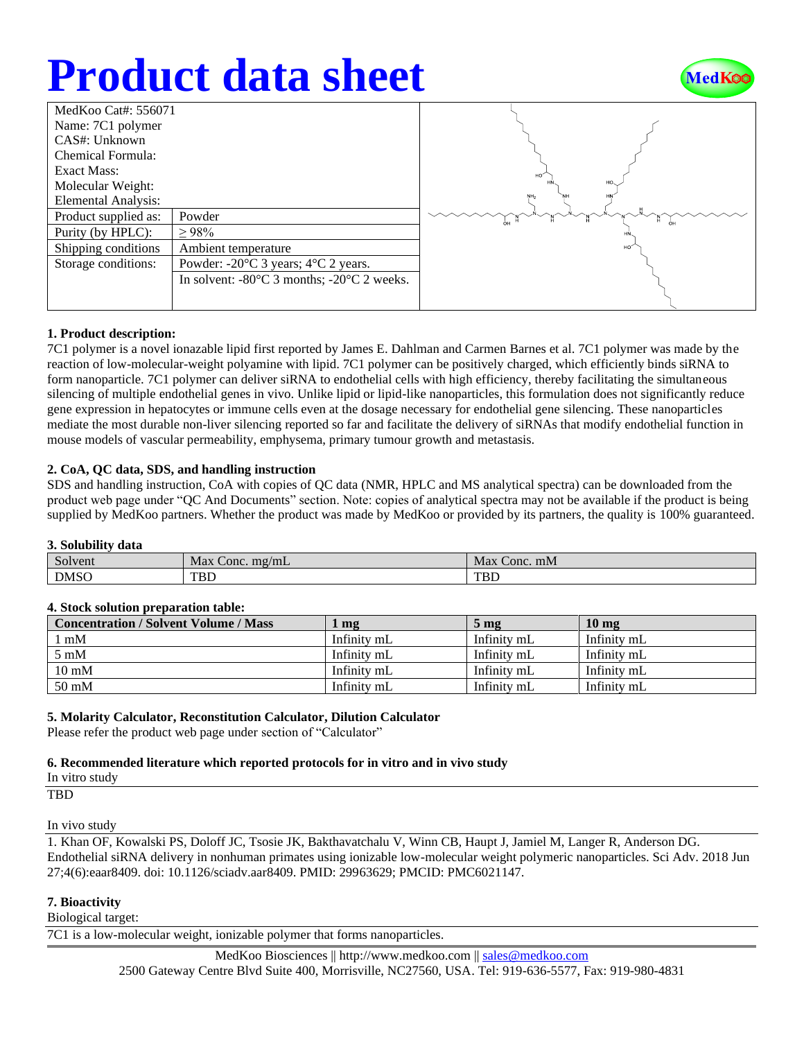## **Product data sheet**



| MedKoo Cat#: 556071  |                                                                |  |  |  |
|----------------------|----------------------------------------------------------------|--|--|--|
| Name: 7C1 polymer    |                                                                |  |  |  |
| CAS#: Unknown        |                                                                |  |  |  |
| Chemical Formula:    |                                                                |  |  |  |
| Exact Mass:          |                                                                |  |  |  |
| Molecular Weight:    |                                                                |  |  |  |
| Elemental Analysis:  |                                                                |  |  |  |
| Product supplied as: | Powder                                                         |  |  |  |
| Purity (by HPLC):    | >98%                                                           |  |  |  |
| Shipping conditions  | Ambient temperature                                            |  |  |  |
| Storage conditions:  | Powder: $-20^{\circ}$ C 3 years; $4^{\circ}$ C 2 years.        |  |  |  |
|                      | In solvent: $-80^{\circ}$ C 3 months; $-20^{\circ}$ C 2 weeks. |  |  |  |
|                      |                                                                |  |  |  |
|                      |                                                                |  |  |  |

### **1. Product description:**

7C1 polymer is a novel ionazable lipid first reported by James E. Dahlman and Carmen Barnes et al. 7C1 polymer was made by the reaction of low-molecular-weight polyamine with lipid. 7C1 polymer can be positively charged, which efficiently binds siRNA to form nanoparticle. 7C1 polymer can deliver siRNA to endothelial cells with high efficiency, thereby facilitating the simultaneous silencing of multiple endothelial genes in vivo. Unlike lipid or lipid-like nanoparticles, this formulation does not significantly reduce gene expression in hepatocytes or immune cells even at the dosage necessary for endothelial gene silencing. These nanoparticles mediate the most durable non-liver silencing reported so far and facilitate the delivery of siRNAs that modify endothelial function in mouse models of vascular permeability, emphysema, primary tumour growth and metastasis.

### **2. CoA, QC data, SDS, and handling instruction**

SDS and handling instruction, CoA with copies of QC data (NMR, HPLC and MS analytical spectra) can be downloaded from the product web page under "QC And Documents" section. Note: copies of analytical spectra may not be available if the product is being supplied by MedKoo partners. Whether the product was made by MedKoo or provided by its partners, the quality is 100% guaranteed.

#### **3. Solubility data**

| $\sim$<br>Solvent | Max<br>. $\text{m} \text{g} / \text{m} \text{L}$<br>Conc. | Max<br>Conc. mM |
|-------------------|-----------------------------------------------------------|-----------------|
| <b>DMSO</b>       | TBL                                                       | <b>TBL</b>      |

#### **4. Stock solution preparation table:**

| <b>Concentration / Solvent Volume / Mass</b> | mg          | 5 <sub>mg</sub> | 10 <sub>mg</sub> |
|----------------------------------------------|-------------|-----------------|------------------|
| mM                                           | Infinity mL | Infinity mL     | Infinity mL      |
| $5 \text{ mM}$                               | Infinity mL | Infinity mL     | Infinity mL      |
| $10 \text{ mM}$                              | Infinity mL | Infinity mL     | Infinity mL      |
| $50 \text{ mM}$                              | Infinity mL | Infinity mL     | Infinity mL      |

#### **5. Molarity Calculator, Reconstitution Calculator, Dilution Calculator**

Please refer the product web page under section of "Calculator"

#### **6. Recommended literature which reported protocols for in vitro and in vivo study**

```
In vitro study
```
TBD

#### In vivo study

1. Khan OF, Kowalski PS, Doloff JC, Tsosie JK, Bakthavatchalu V, Winn CB, Haupt J, Jamiel M, Langer R, Anderson DG. Endothelial siRNA delivery in nonhuman primates using ionizable low-molecular weight polymeric nanoparticles. Sci Adv. 2018 Jun 27;4(6):eaar8409. doi: 10.1126/sciadv.aar8409. PMID: 29963629; PMCID: PMC6021147.

#### **7. Bioactivity**

Biological target:

7C1 is a low-molecular weight, ionizable polymer that forms nanoparticles.

MedKoo Biosciences || [http://www.medkoo.com](http://www.medkoo.com/) || [sales@medkoo.com](mailto:sales@medkoo.com) 2500 Gateway Centre Blvd Suite 400, Morrisville, NC27560, USA. Tel: 919-636-5577, Fax: 919-980-4831